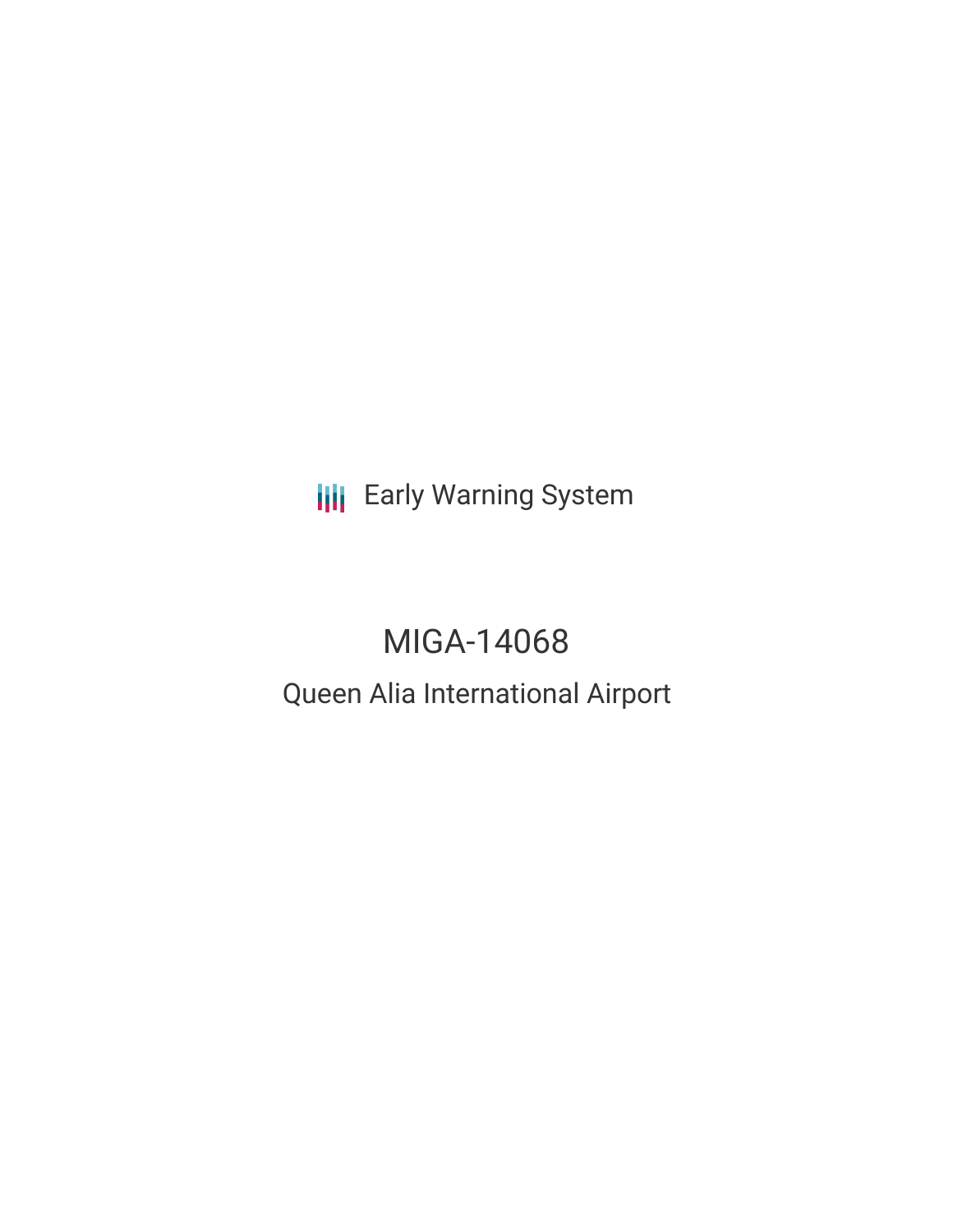**III** Early Warning System

# MIGA-14068

## Queen Alia International Airport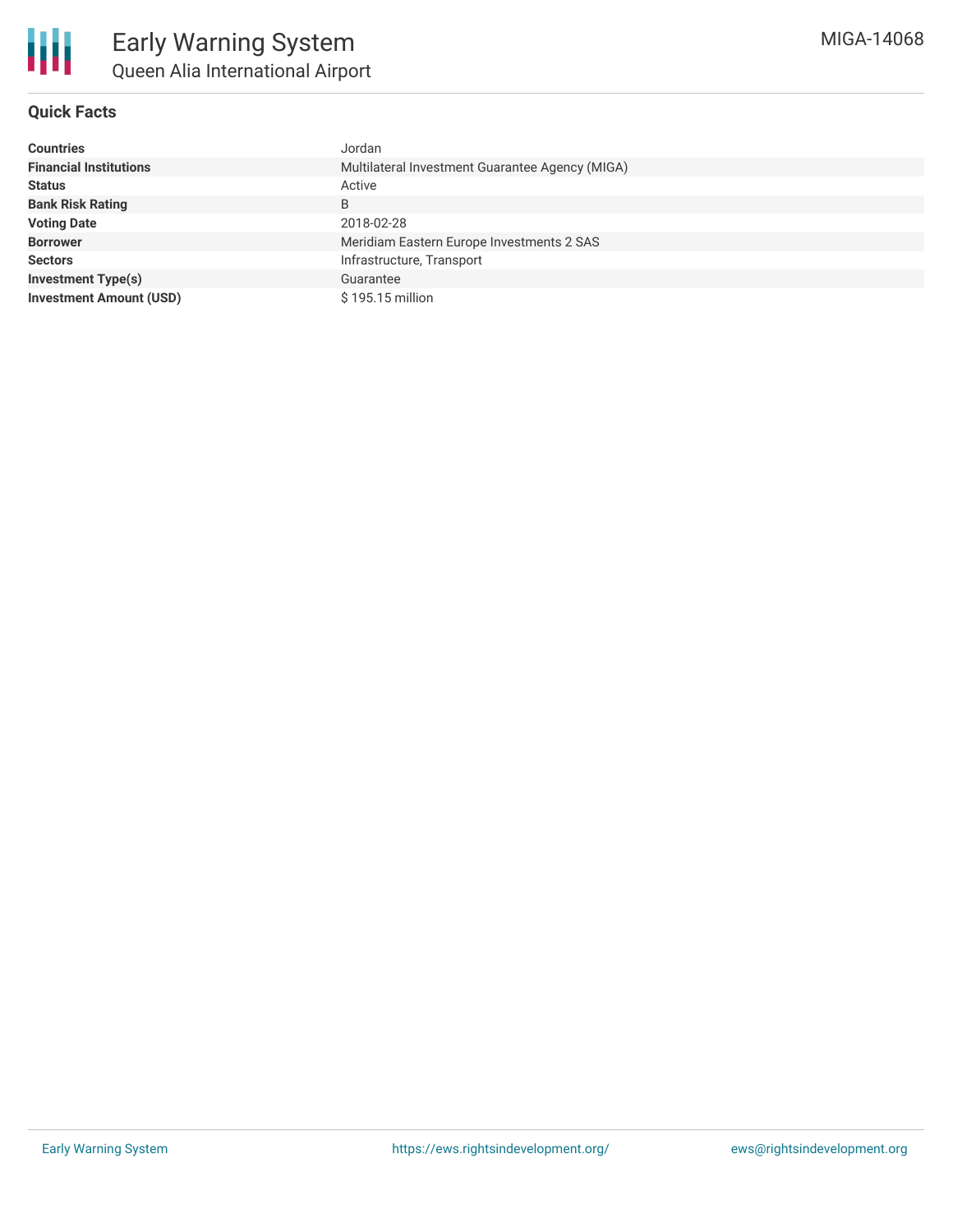

#### **Quick Facts**

| <b>Countries</b>               | Jordan                                          |  |  |  |
|--------------------------------|-------------------------------------------------|--|--|--|
| <b>Financial Institutions</b>  | Multilateral Investment Guarantee Agency (MIGA) |  |  |  |
| <b>Status</b>                  | Active                                          |  |  |  |
| <b>Bank Risk Rating</b>        | B                                               |  |  |  |
| <b>Voting Date</b>             | 2018-02-28                                      |  |  |  |
| <b>Borrower</b>                | Meridiam Eastern Europe Investments 2 SAS       |  |  |  |
| <b>Sectors</b>                 | Infrastructure, Transport                       |  |  |  |
| <b>Investment Type(s)</b>      | Guarantee                                       |  |  |  |
| <b>Investment Amount (USD)</b> | \$195.15 million                                |  |  |  |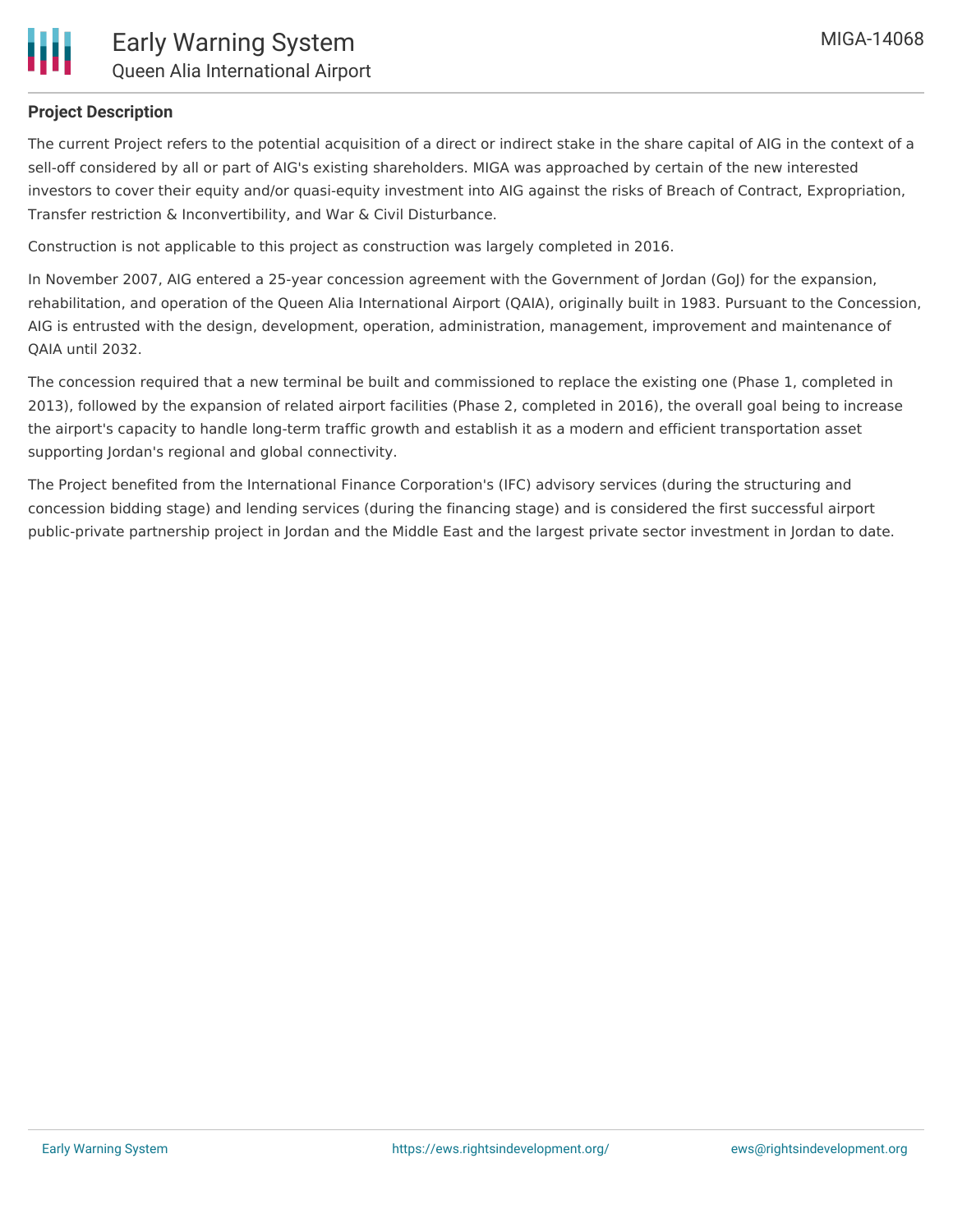

#### **Project Description**

The current Project refers to the potential acquisition of a direct or indirect stake in the share capital of AIG in the context of a sell-off considered by all or part of AIG's existing shareholders. MIGA was approached by certain of the new interested investors to cover their equity and/or quasi-equity investment into AIG against the risks of Breach of Contract, Expropriation, Transfer restriction & Inconvertibility, and War & Civil Disturbance.

Construction is not applicable to this project as construction was largely completed in 2016.

In November 2007, AIG entered a 25-year concession agreement with the Government of Jordan (GoJ) for the expansion, rehabilitation, and operation of the Queen Alia International Airport (QAIA), originally built in 1983. Pursuant to the Concession, AIG is entrusted with the design, development, operation, administration, management, improvement and maintenance of QAIA until 2032.

The concession required that a new terminal be built and commissioned to replace the existing one (Phase 1, completed in 2013), followed by the expansion of related airport facilities (Phase 2, completed in 2016), the overall goal being to increase the airport's capacity to handle long-term traffic growth and establish it as a modern and efficient transportation asset supporting Jordan's regional and global connectivity.

The Project benefited from the International Finance Corporation's (IFC) advisory services (during the structuring and concession bidding stage) and lending services (during the financing stage) and is considered the first successful airport public-private partnership project in Jordan and the Middle East and the largest private sector investment in Jordan to date.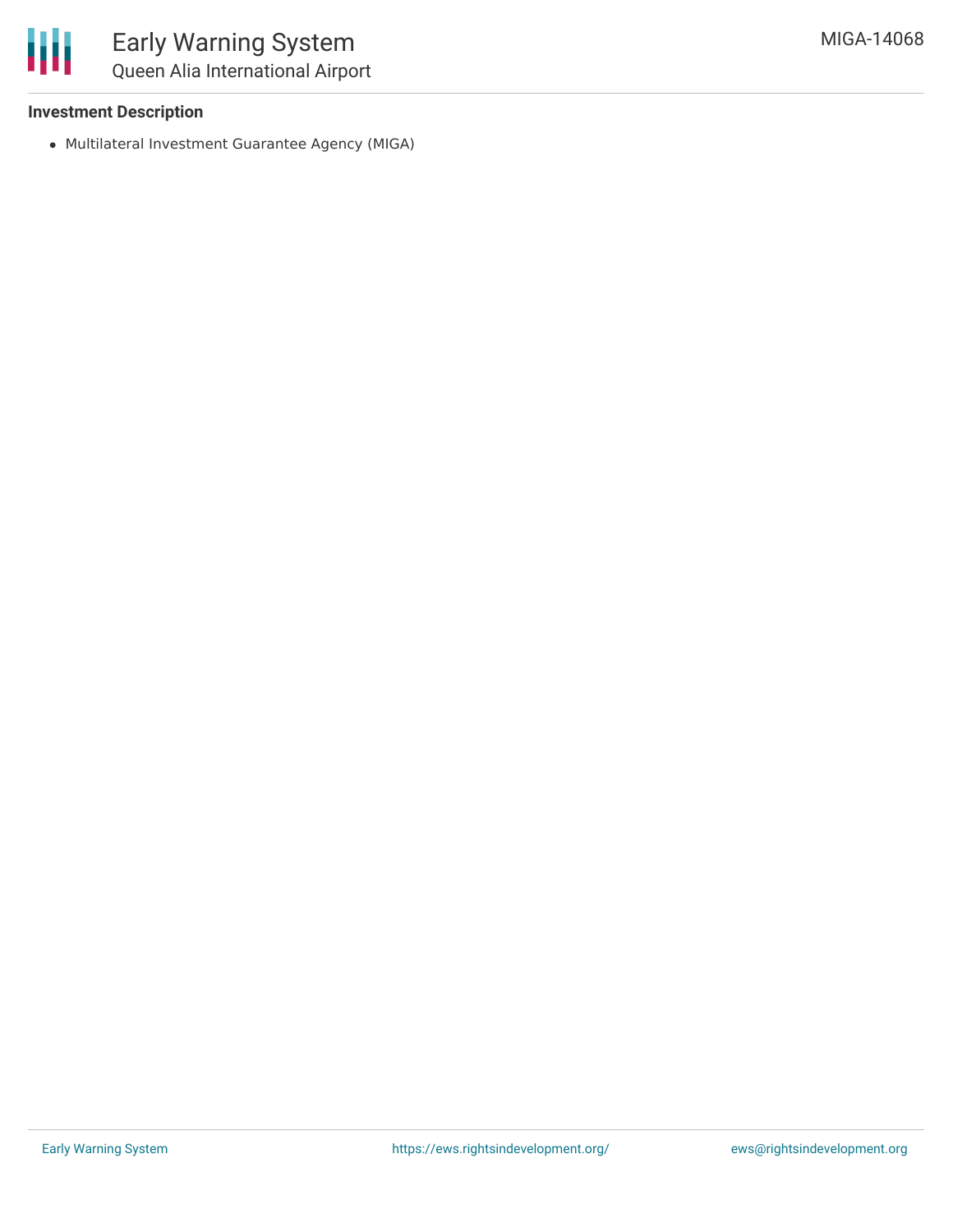

#### **Investment Description**

Multilateral Investment Guarantee Agency (MIGA)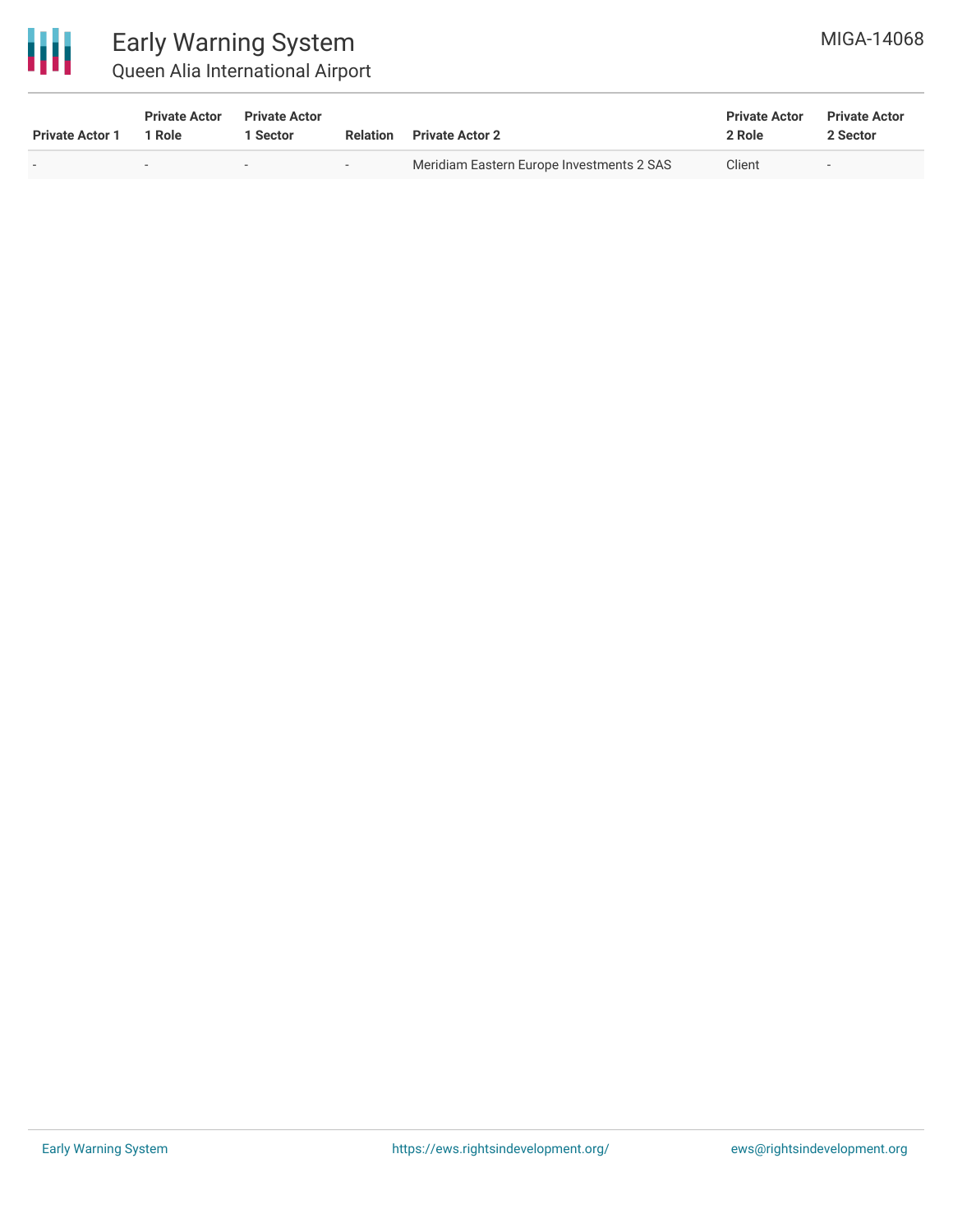

### Early Warning System Queen Alia International Airport

| <b>Private Actor 1</b> | <b>Private Actor</b><br>l Role | <b>Private Actor</b><br>  Sector | Relation                 | <b>Private Actor 2</b>                    | <b>Private Actor</b><br>2 Role | <b>Private Actor</b><br>2 Sector |
|------------------------|--------------------------------|----------------------------------|--------------------------|-------------------------------------------|--------------------------------|----------------------------------|
|                        |                                | $\overline{\phantom{0}}$         | $\overline{\phantom{0}}$ | Meridiam Eastern Europe Investments 2 SAS | Client                         | $\overline{\phantom{a}}$         |